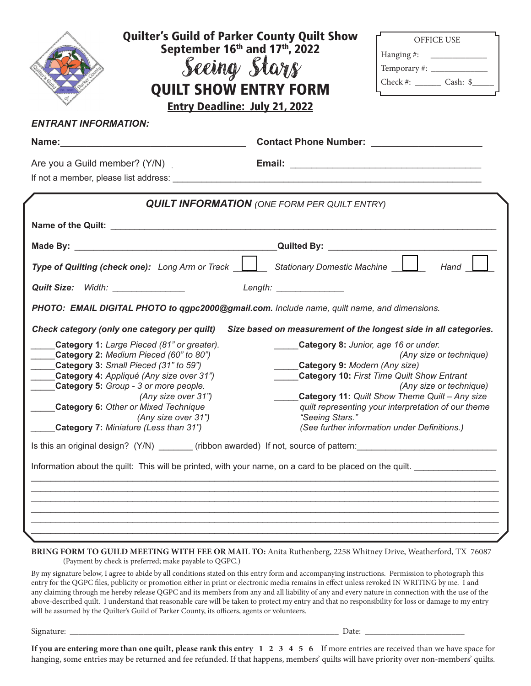| <b>Quilter's Guild of Parker County Quilt Show</b><br>September 16th and 17th, 2022<br><b>Seeing Stars</b><br><b>QUILT SHOW ENTRY FORM</b><br><b>Entry Deadline: July 21, 2022</b>                                                                                                                                                                       | OFFICE USE<br>Hanging #: $\qquad \qquad$<br>Check #: $\_\_\_\_\_$ Cash: \$                                                                                                                                                                                                                                                                                   |
|----------------------------------------------------------------------------------------------------------------------------------------------------------------------------------------------------------------------------------------------------------------------------------------------------------------------------------------------------------|--------------------------------------------------------------------------------------------------------------------------------------------------------------------------------------------------------------------------------------------------------------------------------------------------------------------------------------------------------------|
| <b>ENTRANT INFORMATION:</b>                                                                                                                                                                                                                                                                                                                              |                                                                                                                                                                                                                                                                                                                                                              |
|                                                                                                                                                                                                                                                                                                                                                          |                                                                                                                                                                                                                                                                                                                                                              |
|                                                                                                                                                                                                                                                                                                                                                          |                                                                                                                                                                                                                                                                                                                                                              |
| <b>QUILT INFORMATION</b> (ONE FORM PER QUILT ENTRY)                                                                                                                                                                                                                                                                                                      |                                                                                                                                                                                                                                                                                                                                                              |
|                                                                                                                                                                                                                                                                                                                                                          |                                                                                                                                                                                                                                                                                                                                                              |
|                                                                                                                                                                                                                                                                                                                                                          |                                                                                                                                                                                                                                                                                                                                                              |
| Stationary Domestic Machine<br>Hand  <br>Type of Quilting (check one): Long Arm or Track                                                                                                                                                                                                                                                                 |                                                                                                                                                                                                                                                                                                                                                              |
| Quilt Size: Width: ______________                                                                                                                                                                                                                                                                                                                        | Length: Length:                                                                                                                                                                                                                                                                                                                                              |
| PHOTO: EMAIL DIGITAL PHOTO to qgpc2000@gmail.com. Include name, quilt name, and dimensions.                                                                                                                                                                                                                                                              |                                                                                                                                                                                                                                                                                                                                                              |
| Size based on measurement of the longest side in all categories.<br>Check category (only one category per quilt)                                                                                                                                                                                                                                         |                                                                                                                                                                                                                                                                                                                                                              |
| Category 1: Large Pieced (81" or greater).<br>Category 2: Medium Pieced (60" to 80")<br>Category 3: Small Pieced (31" to 59")<br>Category 4: Appliqué (Any size over 31")<br><b>Category 5:</b> Group - 3 or more people.<br>(Any size over 31")<br>Category 6: Other or Mixed Technique<br>(Any size over 31")<br>Category 7: Miniature (Less than 31") | Category 8: Junior, age 16 or under.<br>(Any size or technique)<br>Category 9: Modern (Any size)<br><b>Category 10: First Time Quilt Show Entrant</b><br>(Any size or technique)<br>Category 11: Quilt Show Theme Quilt - Any size<br>quilt representing your interpretation of our theme<br>"Seeing Stars."<br>(See further information under Definitions.) |
|                                                                                                                                                                                                                                                                                                                                                          | Is this an original design? (Y/N) _______(ribbon awarded) If not, source of pattern: _________________________                                                                                                                                                                                                                                               |
| Information about the quilt: This will be printed, with your name, on a card to be placed on the quilt.<br>BRING FORM TO GUILD MEETING WITH FEE OR MAIL TO: Anita Ruthenberg, 2258 Whitney Drive, Weatherford, TX 76087                                                                                                                                  |                                                                                                                                                                                                                                                                                                                                                              |

(Payment by check is preferred; make payable to QGPC.)

By my signature below, I agree to abide by all conditions stated on this entry form and accompanying instructions. Permission to photograph this entry for the QGPC files, publicity or promotion either in print or electronic media remains in effect unless revoked IN WRITING by me. I and any claiming through me hereby release QGPC and its members from any and all liability of any and every nature in connection with the use of the above-described quilt. I understand that reasonable care will be taken to protect my entry and that no responsibility for loss or damage to my entry will be assumed by the Quilter's Guild of Parker County, its officers, agents or volunteers.

Signature: \_\_\_\_\_\_\_\_\_\_\_\_\_\_\_\_\_\_\_\_\_\_\_\_\_\_\_\_\_\_\_\_\_\_\_\_\_\_\_\_\_\_\_\_\_\_\_\_\_\_\_\_\_\_\_\_\_\_\_\_\_\_ Date: \_\_\_\_\_\_\_\_\_\_\_\_\_\_\_\_\_\_\_\_\_\_\_

**If you are entering more than one quilt, please rank this entry 1 2 3 4 5 6** If more entries are received than we have space for hanging, some entries may be returned and fee refunded. If that happens, members' quilts will have priority over non-members' quilts.